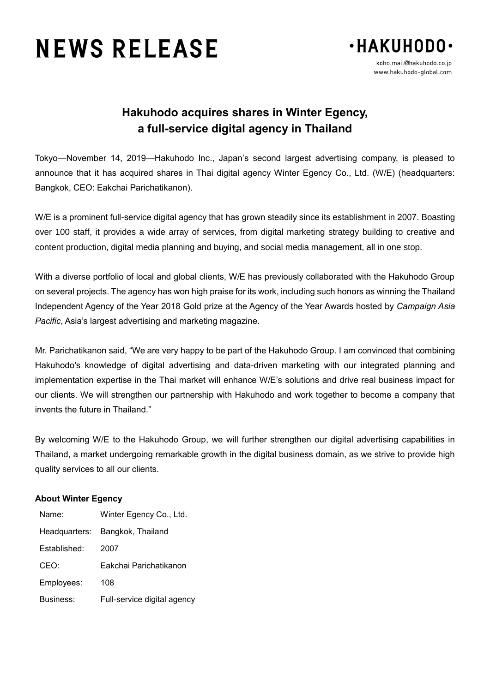## **NEWS RELEASE**



## **Hakuhodo acquires shares in Winter Egency, a full-service digital agency in Thailand**

Tokyo—November 14, 2019—Hakuhodo Inc., Japan's second largest advertising company, is pleased to announce that it has acquired shares in Thai digital agency Winter Egency Co., Ltd. (W/E) (headquarters: Bangkok, CEO: Eakchai Parichatikanon).

W/E is a prominent full-service digital agency that has grown steadily since its establishment in 2007. Boasting over 100 staff, it provides a wide array of services, from digital marketing strategy building to creative and content production, digital media planning and buying, and social media management, all in one stop.

With a diverse portfolio of local and global clients, W/E has previously collaborated with the Hakuhodo Group on several projects. The agency has won high praise for its work, including such honors as winning the Thailand Independent Agency of the Year 2018 Gold prize at the Agency of the Year Awards hosted by *Campaign Asia Pacific*, Asia's largest advertising and marketing magazine.

Mr. Parichatikanon said, "We are very happy to be part of the Hakuhodo Group. I am convinced that combining Hakuhodo's knowledge of digital advertising and data-driven marketing with our integrated planning and implementation expertise in the Thai market will enhance W/E's solutions and drive real business impact for our clients. We will strengthen our partnership with Hakuhodo and work together to become a company that invents the future in Thailand."

By welcoming W/E to the Hakuhodo Group, we will further strengthen our digital advertising capabilities in Thailand, a market undergoing remarkable growth in the digital business domain, as we strive to provide high quality services to all our clients.

## **About Winter Egency**

| Name:         | Winter Egency Co., Ltd.     |
|---------------|-----------------------------|
| Headquarters: | Bangkok, Thailand           |
| Established:  | 2007                        |
| CEO:          | Eakchai Parichatikanon      |
| Employees:    | 108                         |
| Business:     | Full-service digital agency |